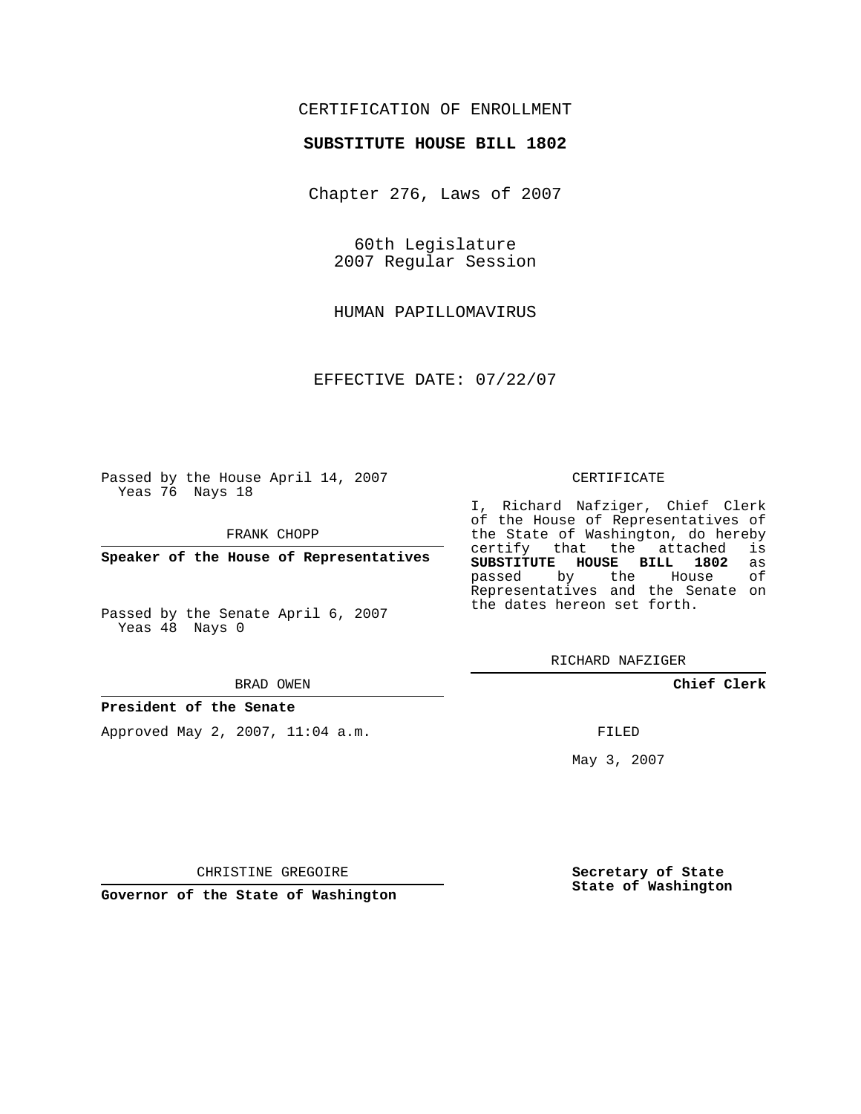## CERTIFICATION OF ENROLLMENT

### **SUBSTITUTE HOUSE BILL 1802**

Chapter 276, Laws of 2007

60th Legislature 2007 Regular Session

HUMAN PAPILLOMAVIRUS

EFFECTIVE DATE: 07/22/07

Passed by the House April 14, 2007 Yeas 76 Nays 18

FRANK CHOPP

**Speaker of the House of Representatives**

Passed by the Senate April 6, 2007 Yeas 48 Nays 0

#### BRAD OWEN

## **President of the Senate**

Approved May 2, 2007, 11:04 a.m.

#### CERTIFICATE

I, Richard Nafziger, Chief Clerk of the House of Representatives of the State of Washington, do hereby<br>certify that the attached is certify that the attached **SUBSTITUTE HOUSE BILL 1802** as passed by the House Representatives and the Senate on the dates hereon set forth.

RICHARD NAFZIGER

**Chief Clerk**

FILED

May 3, 2007

**Secretary of State State of Washington**

CHRISTINE GREGOIRE

**Governor of the State of Washington**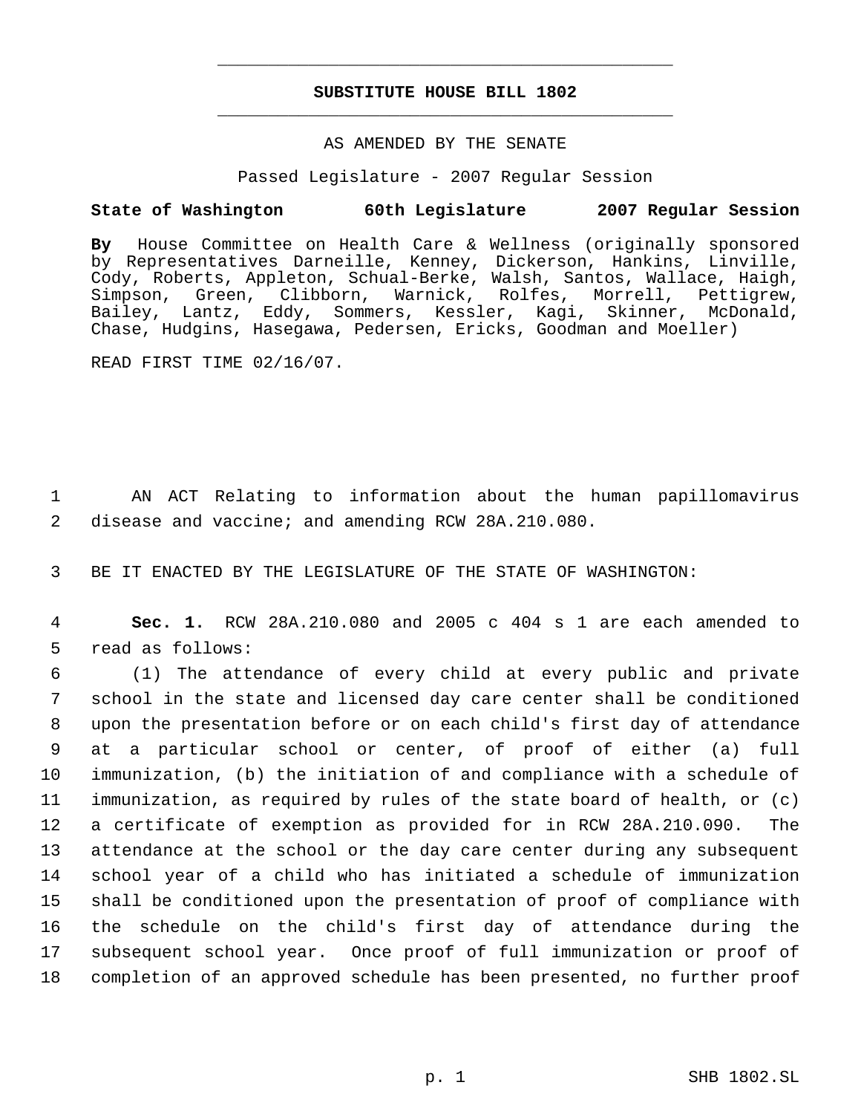# **SUBSTITUTE HOUSE BILL 1802** \_\_\_\_\_\_\_\_\_\_\_\_\_\_\_\_\_\_\_\_\_\_\_\_\_\_\_\_\_\_\_\_\_\_\_\_\_\_\_\_\_\_\_\_\_

\_\_\_\_\_\_\_\_\_\_\_\_\_\_\_\_\_\_\_\_\_\_\_\_\_\_\_\_\_\_\_\_\_\_\_\_\_\_\_\_\_\_\_\_\_

### AS AMENDED BY THE SENATE

Passed Legislature - 2007 Regular Session

# **State of Washington 60th Legislature 2007 Regular Session**

**By** House Committee on Health Care & Wellness (originally sponsored by Representatives Darneille, Kenney, Dickerson, Hankins, Linville, Cody, Roberts, Appleton, Schual-Berke, Walsh, Santos, Wallace, Haigh, Simpson, Green, Clibborn, Warnick, Rolfes, Morrell, Pettigrew, Bailey, Lantz, Eddy, Sommers, Kessler, Kagi, Skinner, McDonald, Chase, Hudgins, Hasegawa, Pedersen, Ericks, Goodman and Moeller)

READ FIRST TIME 02/16/07.

 1 AN ACT Relating to information about the human papillomavirus 2 disease and vaccine; and amending RCW 28A.210.080.

3 BE IT ENACTED BY THE LEGISLATURE OF THE STATE OF WASHINGTON:

 4 **Sec. 1.** RCW 28A.210.080 and 2005 c 404 s 1 are each amended to 5 read as follows:

 (1) The attendance of every child at every public and private school in the state and licensed day care center shall be conditioned upon the presentation before or on each child's first day of attendance at a particular school or center, of proof of either (a) full immunization, (b) the initiation of and compliance with a schedule of immunization, as required by rules of the state board of health, or (c) a certificate of exemption as provided for in RCW 28A.210.090. The attendance at the school or the day care center during any subsequent school year of a child who has initiated a schedule of immunization shall be conditioned upon the presentation of proof of compliance with the schedule on the child's first day of attendance during the subsequent school year. Once proof of full immunization or proof of completion of an approved schedule has been presented, no further proof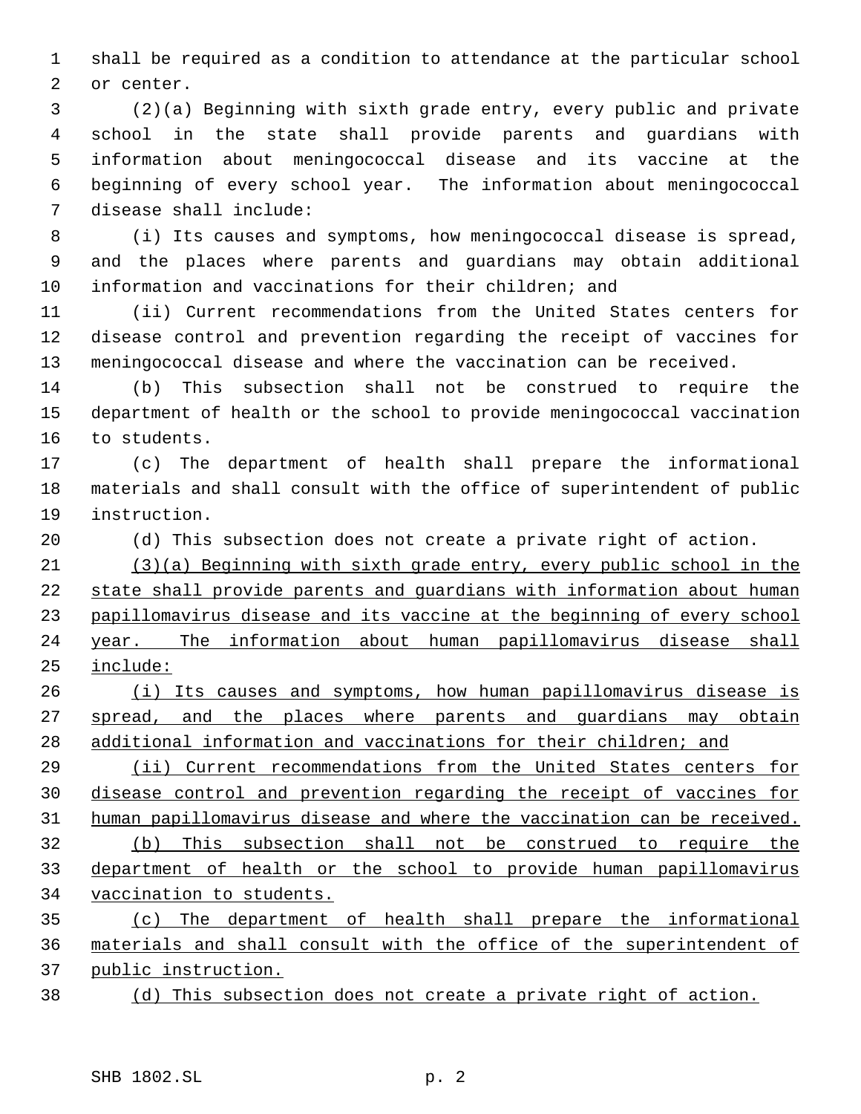shall be required as a condition to attendance at the particular school or center.

 (2)(a) Beginning with sixth grade entry, every public and private school in the state shall provide parents and guardians with information about meningococcal disease and its vaccine at the beginning of every school year. The information about meningococcal disease shall include:

 (i) Its causes and symptoms, how meningococcal disease is spread, and the places where parents and guardians may obtain additional information and vaccinations for their children; and

 (ii) Current recommendations from the United States centers for disease control and prevention regarding the receipt of vaccines for meningococcal disease and where the vaccination can be received.

 (b) This subsection shall not be construed to require the department of health or the school to provide meningococcal vaccination to students.

 (c) The department of health shall prepare the informational materials and shall consult with the office of superintendent of public instruction.

(d) This subsection does not create a private right of action.

 (3)(a) Beginning with sixth grade entry, every public school in the state shall provide parents and guardians with information about human papillomavirus disease and its vaccine at the beginning of every school year. The information about human papillomavirus disease shall include:

26 (i) Its causes and symptoms, how human papillomavirus disease is 27 spread, and the places where parents and guardians may obtain 28 additional information and vaccinations for their children; and

 (ii) Current recommendations from the United States centers for disease control and prevention regarding the receipt of vaccines for human papillomavirus disease and where the vaccination can be received. (b) This subsection shall not be construed to require the

 department of health or the school to provide human papillomavirus vaccination to students.

 (c) The department of health shall prepare the informational materials and shall consult with the office of the superintendent of public instruction.

(d) This subsection does not create a private right of action.